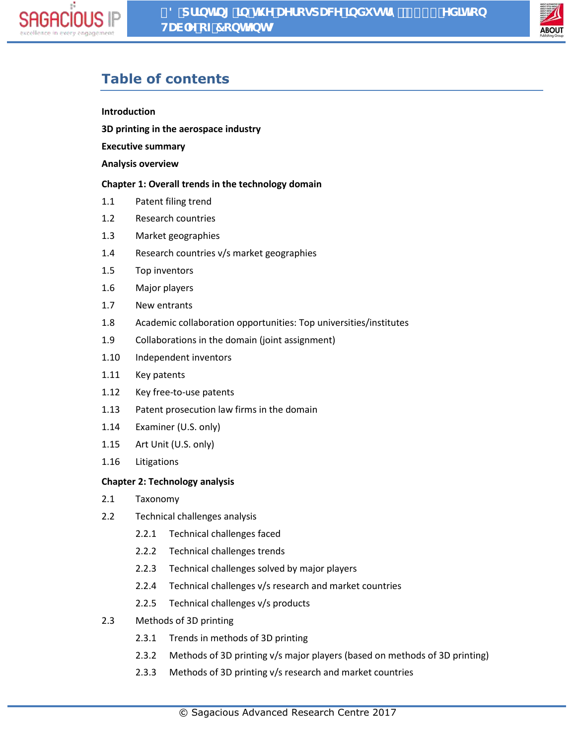



# **Table of contents**

#### **Introduction**

**3D printing in the aerospace industry**

**Executive summary**

#### **Analysis overview**

## **Chapter 1: Overall trends in the technology domain**

- 1.1 Patent filing trend
- 1.2 Research countries
- 1.3 Market geographies
- 1.4 Research countries v/s market geographies
- 1.5 Top inventors
- 1.6 Major players
- 1.7 New entrants
- 1.8 Academic collaboration opportunities: Top universities/institutes
- 1.9 Collaborations in the domain (joint assignment)
- 1.10 Independent inventors
- 1.11 Key patents
- 1.12 Key free-to-use patents
- 1.13 Patent prosecution law firms in the domain
- 1.14 Examiner (U.S. only)
- 1.15 Art Unit (U.S. only)
- 1.16 Litigations

#### **Chapter 2: Technology analysis**

- 2.1 Taxonomy
- 2.2 Technical challenges analysis
	- 2.2.1 Technical challenges faced
	- 2.2.2 Technical challenges trends
	- 2.2.3 Technical challenges solved by major players
	- 2.2.4 Technical challenges v/s research and market countries
	- 2.2.5 Technical challenges v/s products
- 2.3 Methods of 3D printing
	- 2.3.1 Trends in methods of 3D printing
	- 2.3.2 Methods of 3D printing v/s major players (based on methods of 3D printing)
	- 2.3.3 Methods of 3D printing v/s research and market countries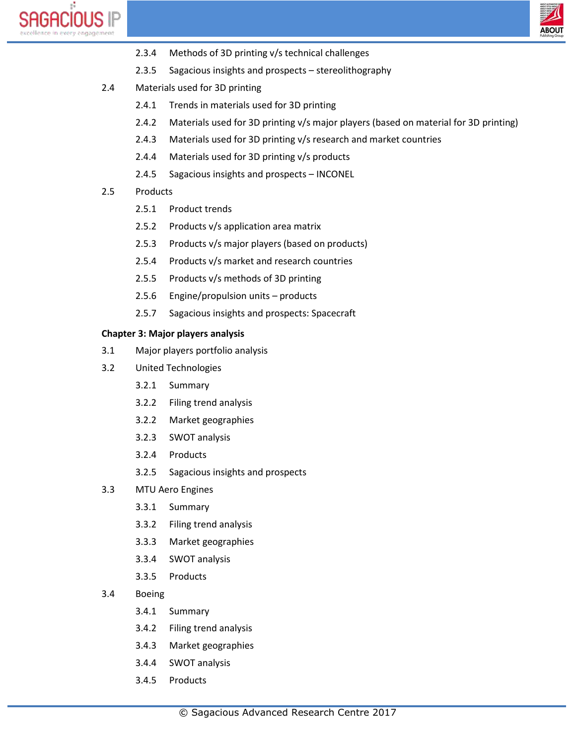



- 2.3.4 Methods of 3D printing v/s technical challenges
- 2.3.5 Sagacious insights and prospects stereolithography
- 2.4 Materials used for 3D printing
	- 2.4.1 Trends in materials used for 3D printing
	- 2.4.2 Materials used for 3D printing v/s major players (based on material for 3D printing)
	- 2.4.3 Materials used for 3D printing v/s research and market countries
	- 2.4.4 Materials used for 3D printing v/s products
	- 2.4.5 Sagacious insights and prospects INCONEL
- 2.5 Products
	- 2.5.1 Product trends
	- 2.5.2 Products v/s application area matrix
	- 2.5.3 Products v/s major players (based on products)
	- 2.5.4 Products v/s market and research countries
	- 2.5.5 Products v/s methods of 3D printing
	- 2.5.6 Engine/propulsion units products
	- 2.5.7 Sagacious insights and prospects: Spacecraft

## **Chapter 3: Major players analysis**

- 3.1 Major players portfolio analysis
- 3.2 United Technologies
	- 3.2.1 Summary
	- 3.2.2 Filing trend analysis
	- 3.2.2 Market geographies
	- 3.2.3 SWOT analysis
	- 3.2.4 Products
	- 3.2.5 Sagacious insights and prospects
- 3.3 MTU Aero Engines
	- 3.3.1 Summary
	- 3.3.2 Filing trend analysis
	- 3.3.3 Market geographies
	- 3.3.4 SWOT analysis
	- 3.3.5 Products
- 3.4 Boeing
	- 3.4.1 Summary
	- 3.4.2 Filing trend analysis
	- 3.4.3 Market geographies
	- 3.4.4 SWOT analysis
	- 3.4.5 Products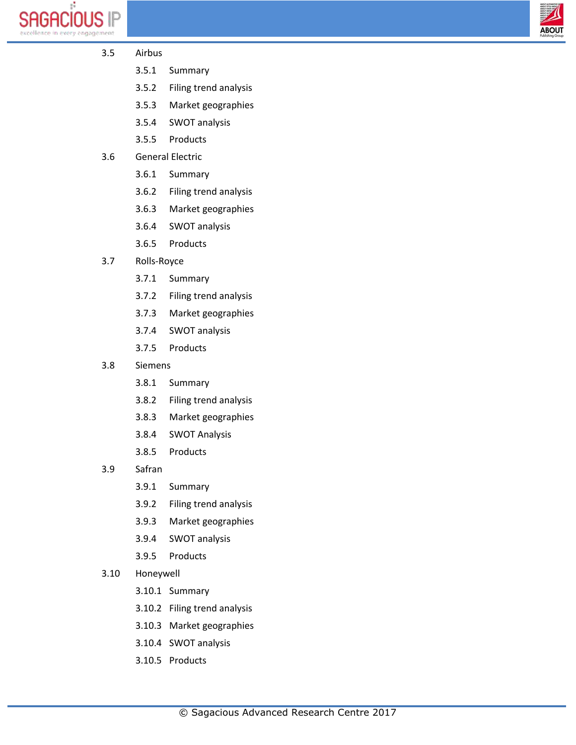



- 3.5 Airbus
	- 3.5.1 Summary
	- 3.5.2 Filing trend analysis
	- 3.5.3 Market geographies
	- 3.5.4 SWOT analysis
	- 3.5.5 Products
- 3.6 General Electric
	- 3.6.1 Summary
	- 3.6.2 Filing trend analysis
	- 3.6.3 Market geographies
	- 3.6.4 SWOT analysis
	- 3.6.5 Products
- 3.7 Rolls-Royce
	- 3.7.1 Summary
	- 3.7.2 Filing trend analysis
	- 3.7.3 Market geographies
	- 3.7.4 SWOT analysis
	- 3.7.5 Products
- 3.8 Siemens
	- 3.8.1 Summary
	- 3.8.2 Filing trend analysis
	- 3.8.3 Market geographies
	- 3.8.4 SWOT Analysis
	- 3.8.5 Products
- 3.9 Safran
	- 3.9.1 Summary
	- 3.9.2 Filing trend analysis
	- 3.9.3 Market geographies
	- 3.9.4 SWOT analysis
	- 3.9.5 Products
- 3.10 Honeywell
	- 3.10.1 Summary
	- 3.10.2 Filing trend analysis
	- 3.10.3 Market geographies
	- 3.10.4 SWOT analysis
	- 3.10.5 Products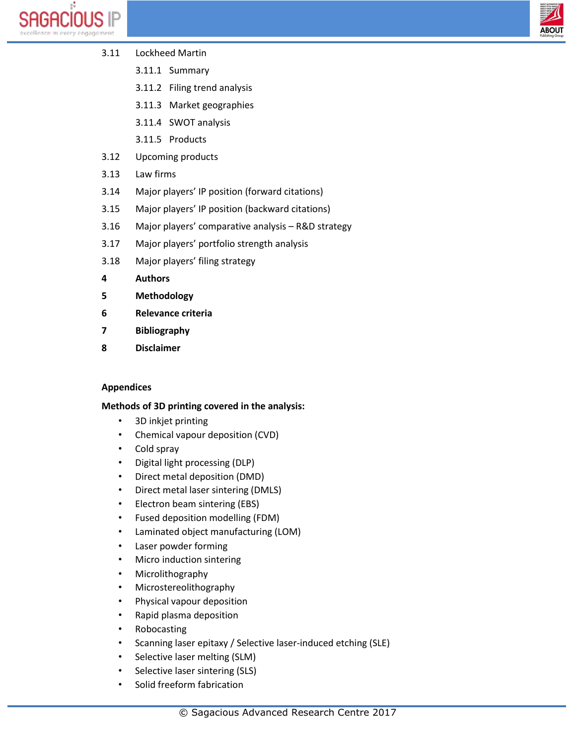



- 3.11 Lockheed Martin
	- 3.11.1 Summary
	- 3.11.2 Filing trend analysis
	- 3.11.3 Market geographies
	- 3.11.4 SWOT analysis
	- 3.11.5 Products
- 3.12 Upcoming products
- 3.13 Law firms
- 3.14 Major players' IP position (forward citations)
- 3.15 Major players' IP position (backward citations)
- 3.16 Major players' comparative analysis R&D strategy
- 3.17 Major players' portfolio strength analysis
- 3.18 Major players' filing strategy
- **4 Authors**
- **5 Methodology**
- **6 Relevance criteria**
- **7 Bibliography**
- **8 Disclaimer**

# **Appendices**

# **Methods of 3D printing covered in the analysis:**

- 3D inkjet printing
- Chemical vapour deposition (CVD)
- Cold spray
- Digital light processing (DLP)
- Direct metal deposition (DMD)
- Direct metal laser sintering (DMLS)
- Electron beam sintering (EBS)
- Fused deposition modelling (FDM)
- Laminated object manufacturing (LOM)
- Laser powder forming
- Micro induction sintering
- Microlithography
- Microstereolithography
- Physical vapour deposition
- Rapid plasma deposition
- Robocasting
- Scanning laser epitaxy / Selective laser-induced etching (SLE)
- Selective laser melting (SLM)
- Selective laser sintering (SLS)
- Solid freeform fabrication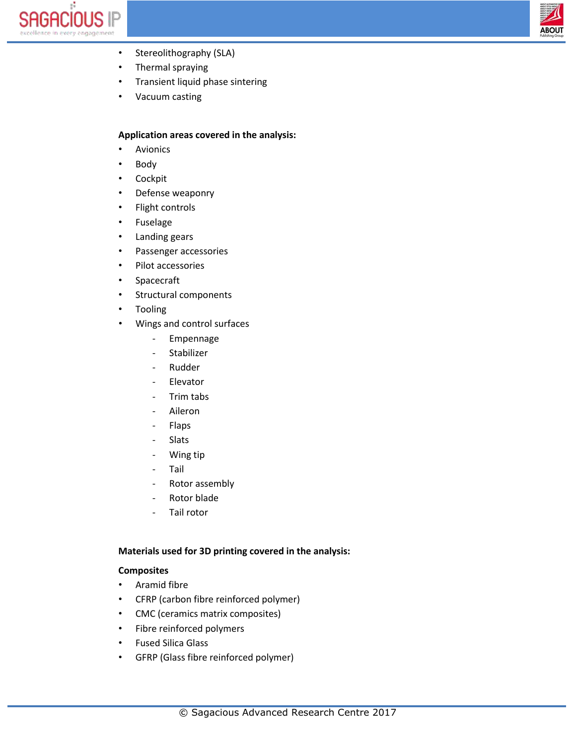



- Stereolithography (SLA)
- Thermal spraying
- Transient liquid phase sintering
- Vacuum casting

## **Application areas covered in the analysis:**

- Avionics
- Body
- Cockpit
- Defense weaponry
- Flight controls
- Fuselage
- Landing gears
- Passenger accessories
- Pilot accessories
- Spacecraft
- Structural components
- Tooling
- Wings and control surfaces
	- Empennage
	- Stabilizer
	- **Rudder**
	- Elevator
	- Trim tabs
	- Aileron
	- Flaps
	- Slats
	- Wing tip
	- **Tail**
	- Rotor assembly
	- Rotor blade
	- Tail rotor

## **Materials used for 3D printing covered in the analysis:**

#### **Composites**

- Aramid fibre
- CFRP (carbon fibre reinforced polymer)
- CMC (ceramics matrix composites)
- Fibre reinforced polymers
- Fused Silica Glass
- GFRP (Glass fibre reinforced polymer)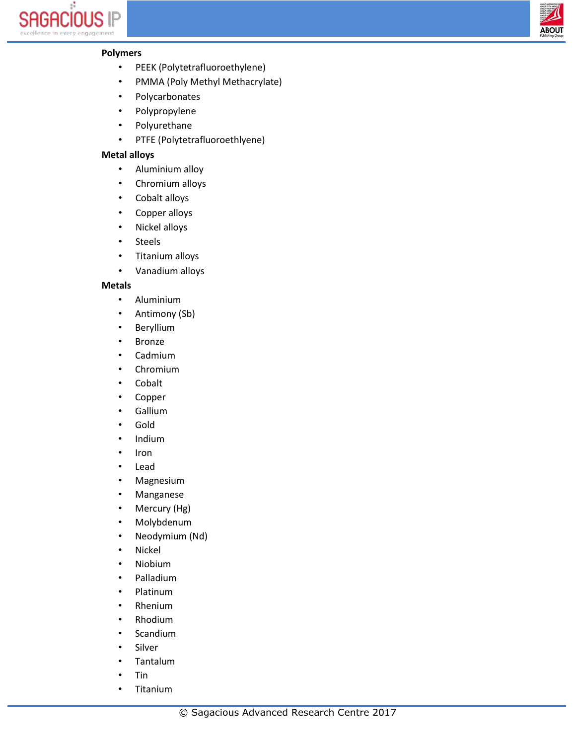



# **Polymers**

- PEEK (Polytetrafluoroethylene)
- PMMA (Poly Methyl Methacrylate)
- Polycarbonates
- Polypropylene
- Polyurethane
- PTFE (Polytetrafluoroethlyene)

## **Metal alloys**

- Aluminium alloy
- Chromium alloys
- Cobalt alloys
- Copper alloys
- Nickel alloys
- Steels
- Titanium alloys
- Vanadium alloys

#### **Metals**

- Aluminium
- Antimony (Sb)
- Beryllium
- Bronze
- Cadmium
- Chromium
- Cobalt
- Copper
- Gallium
- Gold
- Indium
- Iron
- Lead
- Magnesium
- Manganese
- Mercury (Hg)
- Molybdenum
- Neodymium (Nd)
- Nickel
- Niobium
- Palladium
- Platinum
- Rhenium
- Rhodium
- Scandium
- **Silver**
- Tantalum
- Tin
- Titanium